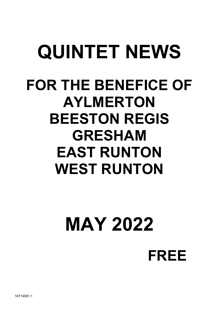## QUINTET NEWS FOR THE BENEFICE OF AYLMERTON BEESTON REGIS GRESHAM EAST RUNTON WEST RUNTON

# MAY 2022

FREE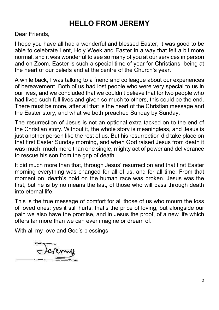## HELLO FROM JEREMY

Dear Friends.

I hope you have all had a wonderful and blessed Easter, it was good to be able to celebrate Lent, Holy Week and Easter in a way that felt a bit more normal, and it was wonderful to see so many of you at our services in person and on Zoom. Easter is such a special time of year for Christians, being at the heart of our beliefs and at the centre of the Church's year.

A while back, I was talking to a friend and colleague about our experiences of bereavement. Both of us had lost people who were very special to us in our lives, and we concluded that we couldn't believe that for two people who had lived such full lives and given so much to others, this could be the end. There must be more, after all that is the heart of the Christian message and the Easter story, and what we both preached Sunday by Sunday.

The resurrection of Jesus is not an optional extra tacked on to the end of the Christian story. Without it, the whole story is meaningless, and Jesus is just another person like the rest of us. But his resurrection did take place on that first Easter Sunday morning, and when God raised Jesus from death it was much, much more than one single, mighty act of power and deliverance to rescue his son from the grip of death.

It did much more than that, through Jesus' resurrection and that first Easter morning everything was changed for all of us, and for all time. From that moment on, death's hold on the human race was broken. Jesus was the first, but he is by no means the last, of those who will pass through death into eternal life.

This is the true message of comfort for all those of us who mourn the loss of loved ones; yes it still hurts, that's the price of loving, but alongside our pain we also have the promise, and in Jesus the proof, of a new life which offers far more than we can ever imagine or dream of.

With all my love and God's blessings.

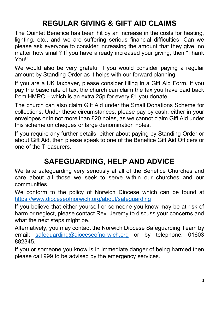## REGULAR GIVING & GIFT AID CLAIMS

The Quintet Benefice has been hit by an increase in the costs for heating, lighting, etc., and we are suffering serious financial difficulties. Can we please ask everyone to consider increasing the amount that they give, no matter how small? If you have already increased your giving, then "Thank You!"

We would also be very grateful if you would consider paying a regular amount by Standing Order as it helps with our forward planning.

If you are a UK taxpayer, please consider filling in a Gift Aid Form. If you pay the basic rate of tax, the church can claim the tax you have paid back from HMRC – which is an extra 25p for every £1 you donate.

The church can also claim Gift Aid under the Small Donations Scheme for collections. Under these circumstances, please pay by cash, either in your envelopes or in not more than £20 notes, as we cannot claim Gift Aid under this scheme on cheques or large denomination notes.

If you require any further details, either about paying by Standing Order or about Gift Aid, then please speak to one of the Benefice Gift Aid Officers or one of the Treasurers.

## SAFEGUARDING, HELP AND ADVICE

We take safeguarding very seriously at all of the Benefice Churches and care about all those we seek to serve within our churches and our communities.

We conform to the policy of Norwich Diocese which can be found at https://www.dioceseofnorwich.org/about/safeguarding

If you believe that either yourself or someone you know may be at risk of harm or neglect, please contact Rev. Jeremy to discuss your concerns and what the next steps might be.

Alternatively, you may contact the Norwich Diocese Safeguarding Team by email: safeguarding@dioceseofnorwich.org or by telephone: 01603 882345.

If you or someone you know is in immediate danger of being harmed then please call 999 to be advised by the emergency services.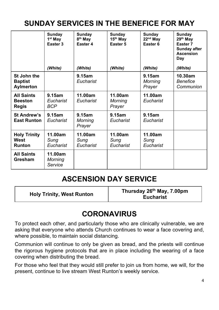## SUNDAY SERVICES IN THE BENEFICE FOR MAY

|                                                     | Sunday<br>1 <sup>st</sup> May<br>Easter 3<br>(White) | Sunday<br>8 <sup>th</sup> May<br>Easter 4<br>(White) | Sunday<br>15 <sup>th</sup> May<br>Easter 5<br>(White) | Sunday<br>$22nd$ May<br>Easter <sub>6</sub><br>(White) | Sunday<br>29 <sup>th</sup> May<br>Easter <sub>7</sub><br><b>Sunday after</b><br>Ascension<br>Day<br>(White) |
|-----------------------------------------------------|------------------------------------------------------|------------------------------------------------------|-------------------------------------------------------|--------------------------------------------------------|-------------------------------------------------------------------------------------------------------------|
| St John the<br><b>Baptist</b><br>Aylmerton          |                                                      | 9.15am<br>Eucharist                                  |                                                       | 9.15am<br><b>Morning</b><br>Prayer                     | 10.30am<br><b>Benefice</b><br>Communion                                                                     |
| <b>All Saints</b><br><b>Beeston</b><br><b>Regis</b> | $9.15$ am<br>Eucharist<br>BCP                        | 11.00am<br>Eucharist                                 | 11.00am<br>Morning<br>Prayer                          | 11.00am<br>Eucharist                                   |                                                                                                             |
| St Andrew's<br><b>East Runton</b>                   | 9.15am<br>Eucharist                                  | 9.15am<br>Morning<br>Prayer                          | 9.15am<br>Eucharist                                   | 9.15am<br>Eucharist                                    |                                                                                                             |
| <b>Holy Trinity</b><br>West<br><b>Runton</b>        | 11.00am<br>Sung<br>Eucharist                         | 11.00am<br>Sung<br>Eucharist                         | 11.00am<br>Sung<br>Eucharist                          | 11.00am<br>Sung<br>Eucharist                           |                                                                                                             |
| <b>All Saints</b><br>Gresham                        | 11.00am<br>Morning<br>Service                        |                                                      |                                                       |                                                        |                                                                                                             |

#### ASCENSION DAY SERVICE

Holy Trinity, West Runton Thursday 26<sup>th</sup> May, 7.00pm **Eucharist** 

#### **CORONAVIRUS**

To protect each other, and particularly those who are clinically vulnerable, we are asking that everyone who attends Church continues to wear a face covering and, where possible, to maintain social distancing.

Communion will continue to only be given as bread, and the priests will continue the rigorous hygiene protocols that are in place including the wearing of a face covering when distributing the bread.

For those who feel that they would still prefer to join us from home, we will, for the present, continue to live stream West Runton's weekly service.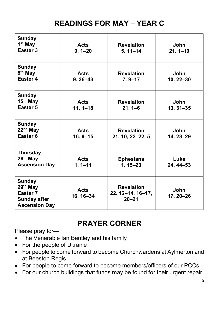## READINGS FOR MAY – YEAR C

| Sunday<br>1 <sup>st</sup> May<br>Easter <sub>3</sub>                                              | Acts<br>$9.1 - 20$         | <b>Revelation</b><br>$5.11 - 14$                    | John<br>$21.1 - 19$  |
|---------------------------------------------------------------------------------------------------|----------------------------|-----------------------------------------------------|----------------------|
| Sunday<br>8 <sup>th</sup> May<br>Easter 4                                                         | <b>Acts</b><br>$9.36 - 43$ | <b>Revelation</b><br>$7.9 - 17$                     | John<br>10.22-30     |
| <b>Sunday</b><br>15 <sup>th</sup> May<br>Easter 5                                                 | <b>Acts</b><br>$11.1 - 18$ | <b>Revelation</b><br>$21.1 - 6$                     | John<br>$13.31 - 35$ |
| <b>Sunday</b><br>22 <sup>nd</sup> May<br>Easter <sub>6</sub>                                      | <b>Acts</b><br>$16.9 - 15$ | <b>Revelation</b><br>21. 10, 22-22. 5               | John<br>14.23-29     |
| <b>Thursday</b><br>$26th$ May<br><b>Ascension Day</b>                                             | <b>Acts</b><br>$1.1 - 11$  | <b>Ephesians</b><br>$1.15 - 23$                     | Luke<br>$24.44 - 53$ |
| <b>Sunday</b><br>$29th$ May<br>Easter <sub>7</sub><br><b>Sunday after</b><br><b>Ascension Day</b> | <b>Acts</b><br>16.16-34    | <b>Revelation</b><br>22. 12–14, 16–17,<br>$20 - 21$ | John<br>17.20-26     |

## PRAYER CORNER

Please pray for—

- The Venerable Ian Bentley and his family
- For the people of Ukraine
- For people to come forward to become Churchwardens at Aylmerton and at Beeston Regis
- For people to come forward to become members/officers of our PCCs
- For our church buildings that funds may be found for their urgent repair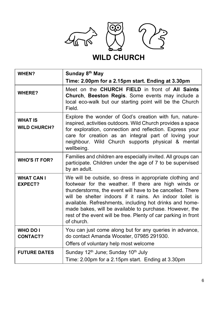

## WILD CHURCH

| WHEN?                                 | Sunday 8 <sup>th</sup> May<br>Time: 2.00pm for a 2.15pm start. Ending at 3.30pm                                                                                                                                                                                                                                                                                                                                                                 |
|---------------------------------------|-------------------------------------------------------------------------------------------------------------------------------------------------------------------------------------------------------------------------------------------------------------------------------------------------------------------------------------------------------------------------------------------------------------------------------------------------|
| <b>WHERE?</b>                         | Meet on the CHURCH FIELD in front of All Saints<br>Church, Beeston Regis. Some events may include a<br>local eco-walk but our starting point will be the Church<br>Field.                                                                                                                                                                                                                                                                       |
| <b>WHAT IS</b><br><b>WILD CHURCH?</b> | Explore the wonder of God's creation with fun, nature-<br>inspired, activities outdoors. Wild Church provides a space<br>for exploration, connection and reflection. Express your<br>care for creation as an integral part of loving your<br>neighbour. Wild Church supports physical & mental<br>wellbeing.                                                                                                                                    |
| <b>WHO'S IT FOR?</b>                  | Families and children are especially invited. All groups can<br>participate. Children under the age of 7 to be supervised<br>by an adult.                                                                                                                                                                                                                                                                                                       |
| <b>WHAT CAN I</b><br><b>EXPECT?</b>   | We will be outside, so dress in appropriate clothing and<br>footwear for the weather. If there are high winds or<br>thunderstorms, the event will have to be cancelled. There<br>will be shelter indoors if it rains. An indoor toilet is<br>available. Refreshments, including hot drinks and home-<br>made bakes, will be available to purchase. However, the<br>rest of the event will be free. Plenty of car parking in front<br>of church. |
| <b>WHO DO I</b><br><b>CONTACT?</b>    | You can just come along but for any queries in advance,<br>do contact Amanda Wooster, 07985 291930.<br>Offers of voluntary help most welcome                                                                                                                                                                                                                                                                                                    |
| <b>FUTURE DATES</b>                   | Sunday 12 <sup>th</sup> June; Sunday 10 <sup>th</sup> July<br>Time: 2.00pm for a 2.15pm start. Ending at 3.30pm                                                                                                                                                                                                                                                                                                                                 |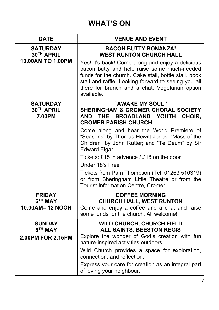## WHAT'S ON

| <b>DATE</b>                                        | <b>VENUE AND EVENT</b>                                                                                                                                                                                                     |  |  |
|----------------------------------------------------|----------------------------------------------------------------------------------------------------------------------------------------------------------------------------------------------------------------------------|--|--|
| <b>SATURDAY</b><br>30TH APRIL<br>10.00AM TO 1.00PM | <b>BACON BUTTY BONANZA!</b><br><b>WEST RUNTON CHURCH HALL</b><br>Yes! It's back! Come along and enjoy a delicious                                                                                                          |  |  |
|                                                    | bacon butty and help raise some much-needed<br>funds for the church. Cake stall, bottle stall, book<br>stall and raffle. Looking forward to seeing you all<br>there for brunch and a chat. Vegetarian option<br>available. |  |  |
| <b>SATURDAY</b><br>30TH APRIL<br>7.00PM            | "AWAKE MY SOUL"<br><b>SHERINGHAM &amp; CROMER CHORAL SOCIETY</b><br>THE BROADLAND<br>YOUTH CHOIR,<br>AND<br><b>CROMER PARISH CHURCH</b>                                                                                    |  |  |
|                                                    | Come along and hear the World Premiere of<br>"Seasons" by Thomas Hewitt Jones; "Mass of the<br>Children" by John Rutter; and "Te Deum" by Sir<br><b>Edward Elgar</b>                                                       |  |  |
|                                                    | Tickets: £15 in advance / £18 on the door                                                                                                                                                                                  |  |  |
|                                                    | Under 18's Free                                                                                                                                                                                                            |  |  |
|                                                    | Tickets from Pam Thompson (Tel: 01263 510319)<br>or from Sheringham Little Theatre or from the<br><b>Tourist Information Centre, Cromer</b>                                                                                |  |  |
| <b>FRIDAY</b>                                      | <b>COFFEE MORNING</b>                                                                                                                                                                                                      |  |  |
| 6 <sup>TH</sup> MAY<br>10.00AM-12 NOON             | <b>CHURCH HALL, WEST RUNTON</b><br>Come and enjoy a coffee and a chat and raise<br>some funds for the church. All welcome!                                                                                                 |  |  |
| <b>SUNDAY</b><br>8 <sup>TH</sup> MAY               | WILD CHURCH, CHURCH FIELD<br>ALL SAINTS, BEESTON REGIS                                                                                                                                                                     |  |  |
| 2.00PM FOR 2.15PM                                  | Explore the wonder of God's creation with fun<br>nature-inspired activities outdoors.                                                                                                                                      |  |  |
|                                                    | Wild Church provides a space for exploration,<br>connection, and reflection.                                                                                                                                               |  |  |
|                                                    | Express your care for creation as an integral part<br>of loving your neighbour.                                                                                                                                            |  |  |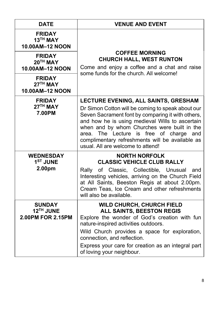| <b>DATE</b>                                        | <b>VENUE AND EVENT</b>                                                                                                                                                                                                                                                                                                                                                                 |  |
|----------------------------------------------------|----------------------------------------------------------------------------------------------------------------------------------------------------------------------------------------------------------------------------------------------------------------------------------------------------------------------------------------------------------------------------------------|--|
| <b>FRIDAY</b><br>13TH MAY<br>10.00AM-12 NOON       |                                                                                                                                                                                                                                                                                                                                                                                        |  |
| <b>FRIDAY</b><br>20TH MAY<br>10.00AM-12 NOON       | <b>COFFEE MORNING</b><br><b>CHURCH HALL, WEST RUNTON</b><br>Come and enjoy a coffee and a chat and raise<br>some funds for the church. All welcome!                                                                                                                                                                                                                                    |  |
| <b>FRIDAY</b><br>27TH MAY<br>10.00AM-12 NOON       |                                                                                                                                                                                                                                                                                                                                                                                        |  |
| <b>FRIDAY</b><br>27 <sup>TH</sup> MAY<br>7.00PM    | LECTURE EVENING, ALL SAINTS, GRESHAM<br>Dr Simon Cotton will be coming to speak about our<br>Seven Sacrament font by comparing it with others,<br>and how he is using medieval Wills to ascertain<br>when and by whom Churches were built in the<br>The Lecture is free of charge and<br>area.<br>complimentary refreshments will be available as<br>usual. All are welcome to attend! |  |
| <b>WEDNESDAY</b><br>1 <sup>ST</sup> JUNE<br>2.00pm | <b>NORTH NORFOLK</b><br><b>CLASSIC VEHICLE CLUB RALLY</b><br>of Classic, Collectible, Unusual<br>Rally<br>and<br>Interesting vehicles, arriving on the Church Field<br>at All Saints, Beeston Regis at about 2.00pm.<br>Cream Teas, Ice Cream and other refreshments<br>will also be available.                                                                                        |  |
| <b>SUNDAY</b><br>12TH JUNE<br>2.00PM FOR 2.15PM    | <b>WILD CHURCH, CHURCH FIELD</b><br><b>ALL SAINTS, BEESTON REGIS</b><br>Explore the wonder of God's creation with fun<br>nature-inspired activities outdoors.<br>Wild Church provides a space for exploration,<br>connection, and reflection.<br>Express your care for creation as an integral part<br>of loving your neighbour.                                                       |  |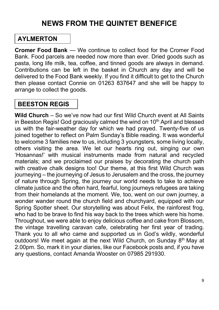#### NEWS FROM THE QUINTET BENEFICE

#### AYLMERTON

Cromer Food Bank — We continue to collect food for the Cromer Food Bank. Food parcels are needed now more than ever. Dried goods such as pasta, long life milk, tea, coffee, and tinned goods are always in demand. Contributions can be left in the basket in Church any day and will be delivered to the Food Bank weekly. If you find it difficult to get to the Church then please contact Connie on 01263 837647 and she will be happy to arrange to collect the goods.

#### BEESTON REGIS

Wild Church – So we've now had our first Wild Church event at All Saints in Beeston Regis! God graciously calmed the wind on 10<sup>th</sup> April and blessed us with the fair-weather day for which we had prayed. Twenty-five of us joined together to reflect on Palm Sunday's Bible reading. It was wonderful to welcome 3 families new to us, including 3 youngsters, some living locally, others visiting the area. We let our hearts ring out, singing our own 'Hosannas!' with musical instruments made from natural and recycled materials; and we proclaimed our praises by decorating the church path with creative chalk designs too! Our theme, at this first Wild Church was journeying – the journeying of Jesus to Jerusalem and the cross, the journey of nature through Spring, the journey our world needs to take to achieve climate justice and the often hard, fearful, long journeys refugees are taking from their homelands at the moment. We, too, went on our own journey, a wonder wander round the church field and churchyard, equipped with our Spring Spotter sheet. Our storytelling was about Felix, the rainforest frog, who had to be brave to find his way back to the trees which were his home. Throughout, we were able to enjoy delicious coffee and cake from Blossom, the vintage travelling caravan cafe, celebrating her first year of trading. Thank you to all who came and supported us in God's wildly, wonderful outdoors! We meet again at the next Wild Church, on Sunday 8<sup>th</sup> May at 2.00pm. So, mark it in your diaries, like our Facebook posts and, if you have any questions, contact Amanda Wooster on 07985 291930.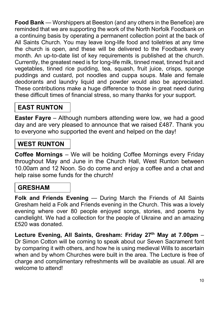Food Bank — Worshippers at Beeston (and any others in the Benefice) are reminded that we are supporting the work of the North Norfolk Foodbank on a continuing basis by operating a permanent collection point at the back of All Saints Church. You may leave long-life food and toiletries at any time the church is open, and these will be delivered to the Foodbank every month. An up-to-date list of key requirements is published at the church. Currently, the greatest need is for long-life milk, tinned meat, tinned fruit and vegetables, tinned rice pudding, tea, squash, fruit juice, crisps, sponge puddings and custard, pot noodles and cuppa soups. Male and female deodorants and laundry liquid and powder would also be appreciated. These contributions make a huge difference to those in great need during these difficult times of financial stress, so many thanks for your support.

#### EAST RUNTON

Easter Fayre – Although numbers attending were low, we had a good day and are very pleased to announce that we raised £487. Thank you to everyone who supported the event and helped on the day!

#### WEST RUNTON

Coffee Mornings – We will be holding Coffee Mornings every Friday throughout May and June in the Church Hall, West Runton between 10.00am and 12 Noon. So do come and enjoy a coffee and a chat and help raise some funds for the church!

#### GRESHAM

Folk and Friends Evening — During March the Friends of All Saints Gresham held a Folk and Friends evening in the Church. This was a lovely evening where over 80 people enjoyed songs, stories, and poems by candlelight. We had a collection for the people of Ukraine and an amazing £520 was donated.

Lecture Evening, All Saints, Gresham: Friday 27th May at 7.00pm – Dr Simon Cotton will be coming to speak about our Seven Sacrament font by comparing it with others, and how he is using medieval Wills to ascertain when and by whom Churches were built in the area. The Lecture is free of charge and complimentary refreshments will be available as usual. All are welcome to attend!